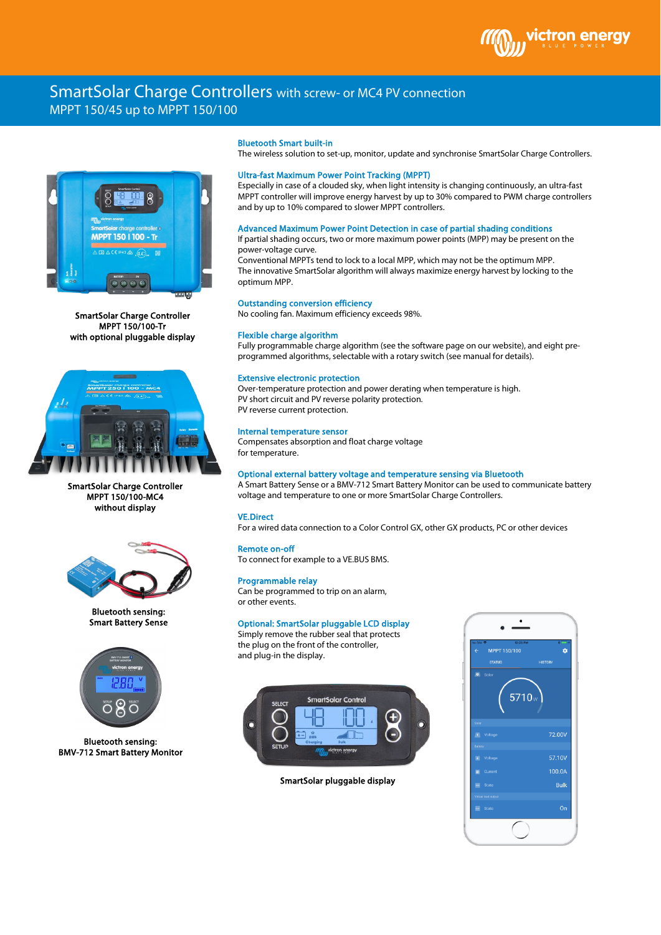

# SmartSolar Charge Controllers with screw- or MC4 PV connection MPPT 150/45 up to MPPT 150/100



SmartSolar Charge Controller MPPT 150/100-Tr with optional pluggable display



SmartSolar Charge Controller MPPT 150/100-MC4 without display



Bluetooth sensing: Smart Battery Sense



Bluetooth sensing: BMV-712 Smart Battery Monitor

## Bluetooth Smart built-in

The wireless solution to set-up, monitor, update and synchronise SmartSolar Charge Controllers.

# Ultra-fast Maximum Power Point Tracking (MPPT)

Especially in case of a clouded sky, when light intensity is changing continuously, an ultra-fast MPPT controller will improve energy harvest by up to 30% compared to PWM charge controllers and by up to 10% compared to slower MPPT controllers.

# Advanced Maximum Power Point Detection in case of partial shading conditions

If partial shading occurs, two or more maximum power points (MPP) may be present on the power-voltage curve.

Conventional MPPTs tend to lock to a local MPP, which may not be the optimum MPP. The innovative SmartSolar algorithm will always maximize energy harvest by locking to the optimum MPP.

### Outstanding conversion efficiency

No cooling fan. Maximum efficiency exceeds 98%.

## Flexible charge algorithm

Fully programmable charge algorithm (see the software page on our website), and eight preprogrammed algorithms, selectable with a rotary switch (see manual for details).

#### Extensive electronic protection

Over-temperature protection and power derating when temperature is high. PV short circuit and PV reverse polarity protection. PV reverse current protection.

## Internal temperature sensor

Compensates absorption and float charge voltage for temperature.

#### Optional external battery voltage and temperature sensing via Bluetooth

A Smart Battery Sense or a BMV-712 Smart Battery Monitor can be used to communicate battery voltage and temperature to one or more SmartSolar Charge Controllers.

# VE.Direct

For a wired data connection to a Color Control GX, other GX products, PC or other devices

#### Remote on-off

To connect for example to a VE.BUS BMS.

#### Programmable relay

Can be programmed to trip on an alarm, or other events.

# Optional: SmartSolar pluggable LCD display

Simply remove the rubber seal that protects the plug on the front of the controller, and plug-in the display.



SmartSolar pluggable display